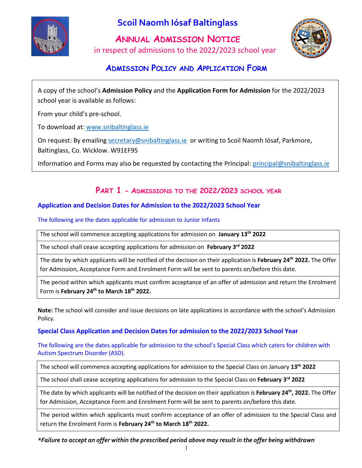

# **Scoil Naomh Iósaf Baltinglass**

**ANNUAL ADMISSION NOTICE**  in respect of admissions to the 2022/2023 school year



## **ADMISSION POLICY AND APPLICATION FORM**

A copy of the school's **Admission Policy** and the **Application Form for Admission** for the 2022/2023 school year is available as follows:

From your child's pre-school.

To download at[: www.snibaltinglass.ie](http://www.snibaltinglass.ie/)

On request: By emailing [secretary@snibaltinglass.ie](mailto:secretary@snibaltinglass.ie) or writing to Scoil Naomh Iósaf, Parkmore, Baltinglass, Co. Wicklow. W91EF95

Information and Forms may also be requested by contacting the Principal: [principal@snibaltinglass.ie](mailto:principal@snibaltinglass.ie)

## **PART 1 - ADMISSIONS TO THE 2022/2023 SCHOOL YEAR**

#### **Application and Decision Dates for Admission to the 2022/2023 School Year**

The following are the dates applicable for admission to Junior Infants

The school will commence accepting applications for admission on **January 13th 2022**

The school shall cease accepting applications for admission on **February 3rd 2022**

The date by which applicants will be notified of the decision on their application is **February 24th 2022.** The Offer for Admission, Acceptance Form and Enrolment Form will be sent to parents on/before this date.

The period within which applicants must confirm acceptance of an offer of admission and return the Enrolment Form is **February 24th to March 18th 2022.** 

**Note:** The school will consider and issue decisions on late applications in accordance with the school's Admission Policy.

#### **Special Class Application and Decision Dates for admission to the 2022/2023 School Year**

The following are the dates applicable for admission to the school's Special Class which caters for children with Autism Spectrum Disorder (ASD).

The school will commence accepting applications for admission to the Special Class on January **13th 2022**

The school shall cease accepting applications for admission to the Special Class on **February 3rd 2022**

The date by which applicants will be notified of the decision on their application is **February 24th, 2022.** The Offer for Admission, Acceptance Form and Enrolment Form will be sent to parents on/before this date.

The period within which applicants must confirm acceptance of an offer of admission to the Special Class and return the Enrolment Form is **February 24th to March 18th 2022.** 

*\*Failure to accept an offer within the prescribed period above may result in the offer being withdrawn*